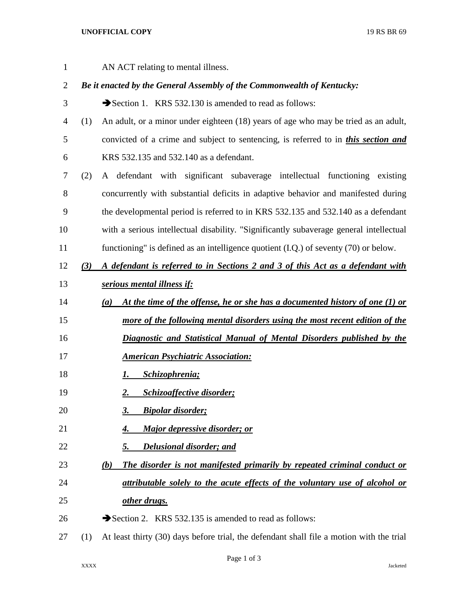## **UNOFFICIAL COPY** 19 RS BR 69

AN ACT relating to mental illness.

## *Be it enacted by the General Assembly of the Commonwealth of Kentucky:*

- 3 Section 1. KRS 532.130 is amended to read as follows:
- (1) An adult, or a minor under eighteen (18) years of age who may be tried as an adult, convicted of a crime and subject to sentencing, is referred to in *this section and* KRS 532.135 and 532.140 as a defendant.
- (2) A defendant with significant subaverage intellectual functioning existing concurrently with substantial deficits in adaptive behavior and manifested during the developmental period is referred to in KRS 532.135 and 532.140 as a defendant with a serious intellectual disability. "Significantly subaverage general intellectual functioning" is defined as an intelligence quotient (I.Q.) of seventy (70) or below.
- *(3) A defendant is referred to in Sections 2 and 3 of this Act as a defendant with serious mental illness if:*
- *(a) At the time of the offense, he or she has a documented history of one (1) or*
- *more of the following mental disorders using the most recent edition of the*
- *Diagnostic and Statistical Manual of Mental Disorders published by the*
- *American Psychiatric Association:*
- *1. Schizophrenia;*
- *2. Schizoaffective disorder;*
- *3. Bipolar disorder;*
- *4. Major depressive disorder; or*
- *5. Delusional disorder; and*
- *(b) The disorder is not manifested primarily by repeated criminal conduct or attributable solely to the acute effects of the voluntary use of alcohol or other drugs.*
- 26  $\rightarrow$  Section 2. KRS 532.135 is amended to read as follows:
- (1) At least thirty (30) days before trial, the defendant shall file a motion with the trial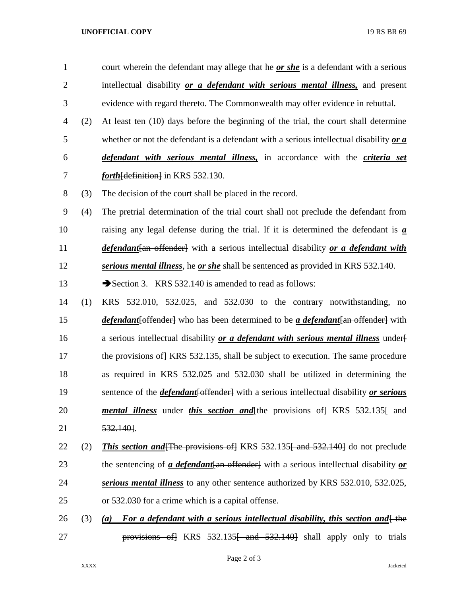## **UNOFFICIAL COPY** 19 RS BR 69

- court wherein the defendant may allege that he *or she* is a defendant with a serious intellectual disability *or a defendant with serious mental illness,* and present evidence with regard thereto. The Commonwealth may offer evidence in rebuttal.
- (2) At least ten (10) days before the beginning of the trial, the court shall determine whether or not the defendant is a defendant with a serious intellectual disability *or a defendant with serious mental illness,* in accordance with the *criteria set forth* [definition] in KRS 532.130.
- (3) The decision of the court shall be placed in the record.
- (4) The pretrial determination of the trial court shall not preclude the defendant from raising any legal defense during the trial. If it is determined the defendant is *a defendant*[an offender] with a serious intellectual disability *or a defendant with serious mental illness*, he *or she* shall be sentenced as provided in KRS 532.140.
- 13 Section 3. KRS 532.140 is amended to read as follows:
- (1) KRS 532.010, 532.025, and 532.030 to the contrary notwithstanding, no *defendant*[offender] who has been determined to be *a defendant*[an offender] with a serious intellectual disability *or a defendant with serious mental illness* under[ 17 the provisions of KRS 532.135, shall be subject to execution. The same procedure as required in KRS 532.025 and 532.030 shall be utilized in determining the sentence of the *defendant*[offender] with a serious intellectual disability *or serious mental illness* under *this section and the provisions of KRS 532.135 f and* 532.140].
- 22 (2) **This section and The provisions of KRS** 532.135 and 532.140 do not preclude 23 the sentencing of *a defendant* {an offender} with a serious intellectual disability *or serious mental illness* to any other sentence authorized by KRS 532.010, 532.025, or 532.030 for a crime which is a capital offense.
- 26 (3) *(a)* For a defendant with a serious intellectual disability, this section and  $\theta$  the 27 **provisions of** KRS 532.135<del> and 532.140</del> shall apply only to trials